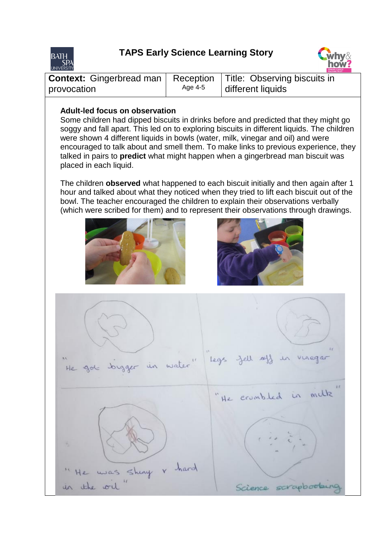

## **TAPS Early Science Learning Story**



|                                                                            |         | <b>TEACHING TRUST</b> |
|----------------------------------------------------------------------------|---------|-----------------------|
| <b>Context:</b> Gingerbread man   Reception   Title: Observing biscuits in |         |                       |
| provocation                                                                | Age 4-5 | different liquids     |

## **Adult-led focus on observation**

Some children had dipped biscuits in drinks before and predicted that they might go soggy and fall apart. This led on to exploring biscuits in different liquids. The children were shown 4 different liquids in bowls (water, milk, vinegar and oil) and were encouraged to talk about and smell them. To make links to previous experience, they talked in pairs to **predict** what might happen when a gingerbread man biscuit was placed in each liquid.

The children **observed** what happened to each biscuit initially and then again after 1 hour and talked about what they noticed when they tried to lift each biscuit out of the bowl. The teacher encouraged the children to explain their observations verbally (which were scribed for them) and to represent their observations through drawings.





legs fell off in vinegar water" He got "He crumbled in milk Shiny & hard was the ol Science scrapbools